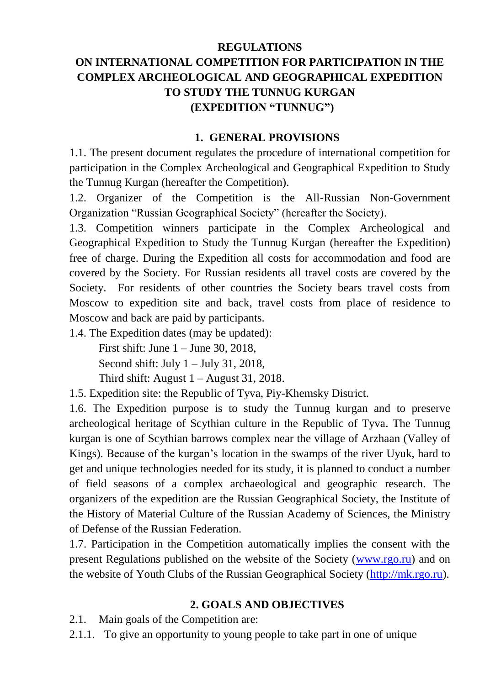#### **REGULATIONS**

# **ON INTERNATIONAL COMPETITION FOR PARTICIPATION IN THE COMPLEX ARCHEOLOGICAL AND GEOGRAPHICAL EXPEDITION TO STUDY THE TUNNUG KURGAN (EXPEDITION "TUNNUG")**

#### **1. GENERAL PROVISIONS**

1.1. The present document regulates the procedure of international competition for participation in the Complex Archeological and Geographical Expedition to Study the Tunnug Kurgan (hereafter the Competition).

1.2. Organizer of the Competition is the All-Russian Non-Government Organization "Russian Geographical Society" (hereafter the Society).

1.3. Competition winners participate in the Complex Archeological and Geographical Expedition to Study the Tunnug Kurgan (hereafter the Expedition) free of charge. During the Expedition all costs for accommodation and food are covered by the Society. For Russian residents all travel costs are covered by the Society. For residents of other countries the Society bears travel costs from Moscow to expedition site and back, travel costs from place of residence to Moscow and back are paid by participants.

1.4. The Expedition dates (may be updated):

First shift: June 1 – June 30, 2018,

Second shift: July  $1 -$  July 31, 2018,

Third shift: August  $1 -$ August 31, 2018.

1.5. Expedition site: the Republic of Tyva, Piy-Khemsky District.

1.6. The Expedition purpose is to study the Tunnug kurgan and to preserve archeological heritage of Scythian culture in the Republic of Tyva. The Tunnug kurgan is one of Scythian barrows complex near the village of Arzhaan (Valley of Kings). Because of the kurgan's location in the swamps of the river Uyuk, hard to get and unique technologies needed for its study, it is planned to conduct a number of field seasons of a complex archaeological and geographic research. The organizers of the expedition are the Russian Geographical Society, the Institute of the History of Material Culture of the Russian Academy of Sciences, the Ministry of Defense of the Russian Federation.

1.7. Participation in the Competition automatically implies the consent with the present Regulations published on the website of the Society [\(www.rgo.ru\)](http://www.rgo.ru/) and on the website of Youth Clubs of the Russian Geographical Society [\(http://mk.rgo.ru\)](http://mk.rgo.ru/).

#### **2. GOALS AND OBJECTIVES**

2.1. Main goals of the Competition are:

2.1.1. To give an opportunity to young people to take part in one of unique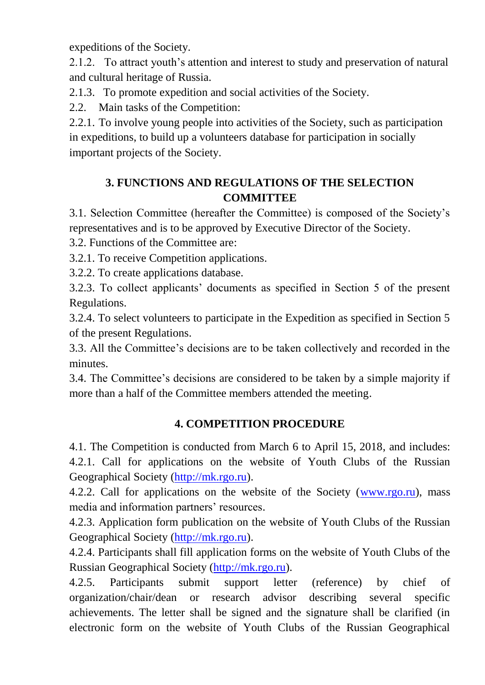expeditions of the Society.

2.1.2. To attract youth's attention and interest to study and preservation of natural and cultural heritage of Russia.

2.1.3. To promote expedition and social activities of the Society.

2.2. Main tasks of the Competition:

2.2.1. To involve young people into activities of the Society, such as participation in expeditions, to build up a volunteers database for participation in socially important projects of the Society.

### **3. FUNCTIONS AND REGULATIONS OF THE SELECTION COMMITTEE**

3.1. Selection Committee (hereafter the Committee) is composed of the Society's representatives and is to be approved by Executive Director of the Society.

3.2. Functions of the Committee are:

3.2.1. To receive Competition applications.

3.2.2. To create applications database.

3.2.3. To collect applicants' documents as specified in Section 5 of the present Regulations.

3.2.4. To select volunteers to participate in the Expedition as specified in Section 5 of the present Regulations.

3.3. All the Committee's decisions are to be taken collectively and recorded in the minutes.

3.4. The Committee's decisions are considered to be taken by a simple majority if more than a half of the Committee members attended the meeting.

## **4. COMPETITION PROCEDURE**

4.1. The Competition is conducted from March 6 to April 15, 2018, and includes: 4.2.1. Call for applications on the website of Youth Clubs of the Russian Geographical Society [\(http://mk.rgo.ru\)](http://mk.rgo.ru/).

4.2.2. Call for applications on the website of the Society [\(www.rgo.ru\)](http://www.rgo.ru/), mass media and information partners' resources.

4.2.3. Application form publication on the website of Youth Clubs of the Russian Geographical Society [\(http://mk.rgo.ru\)](http://mk.rgo.ru/).

4.2.4. Participants shall fill application forms on the website of Youth Clubs of the Russian Geographical Society [\(http://mk.rgo.ru\)](http://mk.rgo.ru/).

4.2.5. Participants submit support letter (reference) by chief of organization/chair/dean or research advisor describing several specific achievements. The letter shall be signed and the signature shall be clarified (in electronic form on the website of Youth Clubs of the Russian Geographical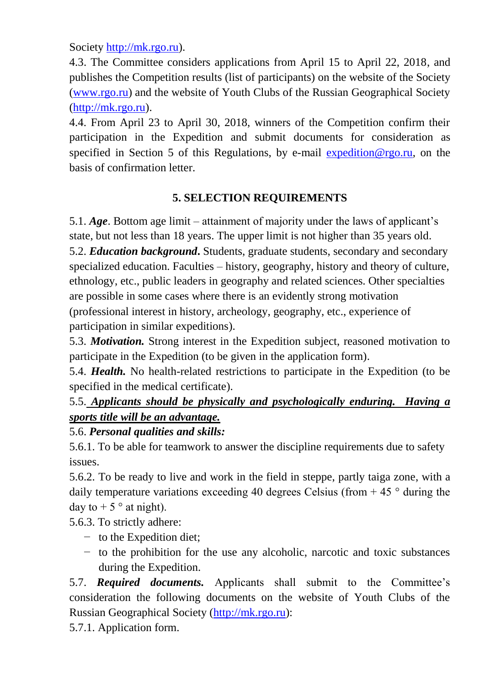Society [http://mk.rgo.ru\)](http://mk.rgo.ru/).

4.3. The Committee considers applications from April 15 to April 22, 2018, and publishes the Competition results (list of participants) on the website of the Society [\(www.rgo.ru\)](http://www.rgo.ru/) and the website of Youth Clubs of the Russian Geographical Society [\(http://mk.rgo.ru\)](http://mk.rgo.ru/).

4.4. From April 23 to April 30, 2018, winners of the Competition confirm their participation in the Expedition and submit documents for consideration as specified in Section 5 of this Regulations, by e-mail [expedition@rgo.ru,](mailto:expedition@rgo.ru) on the basis of confirmation letter.

### **5. SELECTION REQUIREMENTS**

5.1. *Age*. Bottom age limit – attainment of majority under the laws of applicant's state, but not less than 18 years. The upper limit is not higher than 35 years old. 5.2. *Education background***.** Students, graduate students, secondary and secondary specialized education. Faculties – history, geography, history and theory of culture, ethnology, etc., public leaders in geography and related sciences. Other specialties are possible in some cases where there is an evidently strong motivation (professional interest in history, archeology, geography, etc., experience of participation in similar expeditions).

5.3. *Motivation.* Strong interest in the Expedition subject, reasoned motivation to participate in the Expedition (to be given in the application form).

5.4. *Health.* No health-related restrictions to participate in the Expedition (to be specified in the medical certificate).

# 5.5. *Applicants should be physically and psychologically enduring. Having a sports title will be an advantage.*

## 5.6. *Personal qualities and skills:*

5.6.1. To be able for teamwork to answer the discipline requirements due to safety issues.

5.6.2. To be ready to live and work in the field in steppe, partly taiga zone, with a daily temperature variations exceeding 40 degrees Celsius (from  $+ 45$  ° during the day to  $+5$  ° at night).

5.6.3. To strictly adhere:

- − to the Expedition diet;
- − to the prohibition for the use any alcoholic, narcotic and toxic substances during the Expedition.

5.7. *Required documents.* Applicants shall submit to the Committee's consideration the following documents on the website of Youth Clubs of the Russian Geographical Society [\(http://mk.rgo.ru\)](http://mk.rgo.ru/):

5.7.1. Application form.